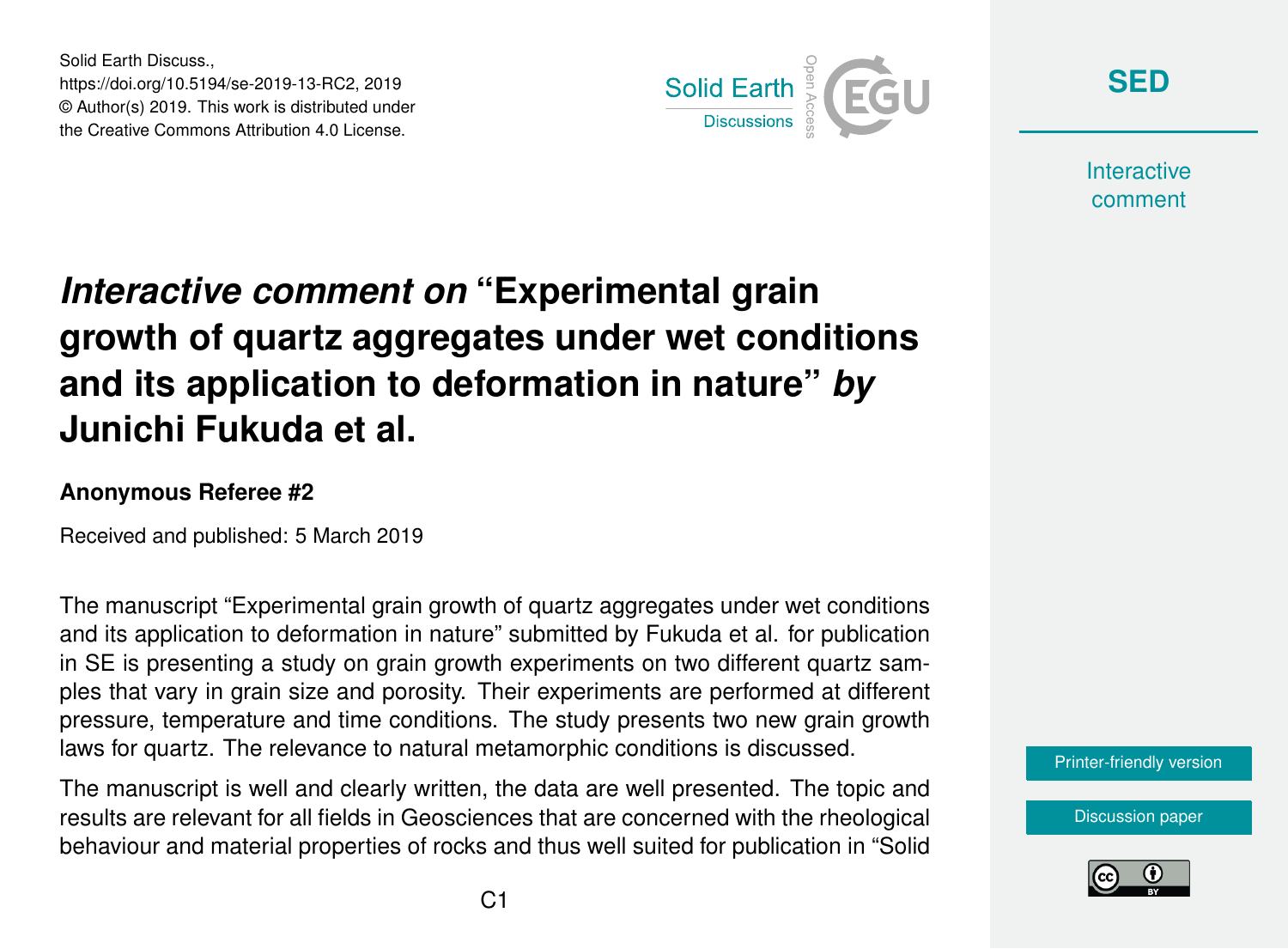Solid Earth Discuss., https://doi.org/10.5194/se-2019-13-RC2, 2019 © Author(s) 2019. This work is distributed under the Creative Commons Attribution 4.0 License.



**[SED](https://www.solid-earth-discuss.net/)**

**Interactive** comment

## *Interactive comment on* **"Experimental grain growth of quartz aggregates under wet conditions and its application to deformation in nature"** *by* **Junichi Fukuda et al.**

## **Anonymous Referee #2**

Received and published: 5 March 2019

The manuscript "Experimental grain growth of quartz aggregates under wet conditions and its application to deformation in nature" submitted by Fukuda et al. for publication in SE is presenting a study on grain growth experiments on two different quartz samples that vary in grain size and porosity. Their experiments are performed at different pressure, temperature and time conditions. The study presents two new grain growth laws for quartz. The relevance to natural metamorphic conditions is discussed.

The manuscript is well and clearly written, the data are well presented. The topic and results are relevant for all fields in Geosciences that are concerned with the rheological behaviour and material properties of rocks and thus well suited for publication in "Solid



[Discussion paper](https://www.solid-earth-discuss.net/se-2019-13)

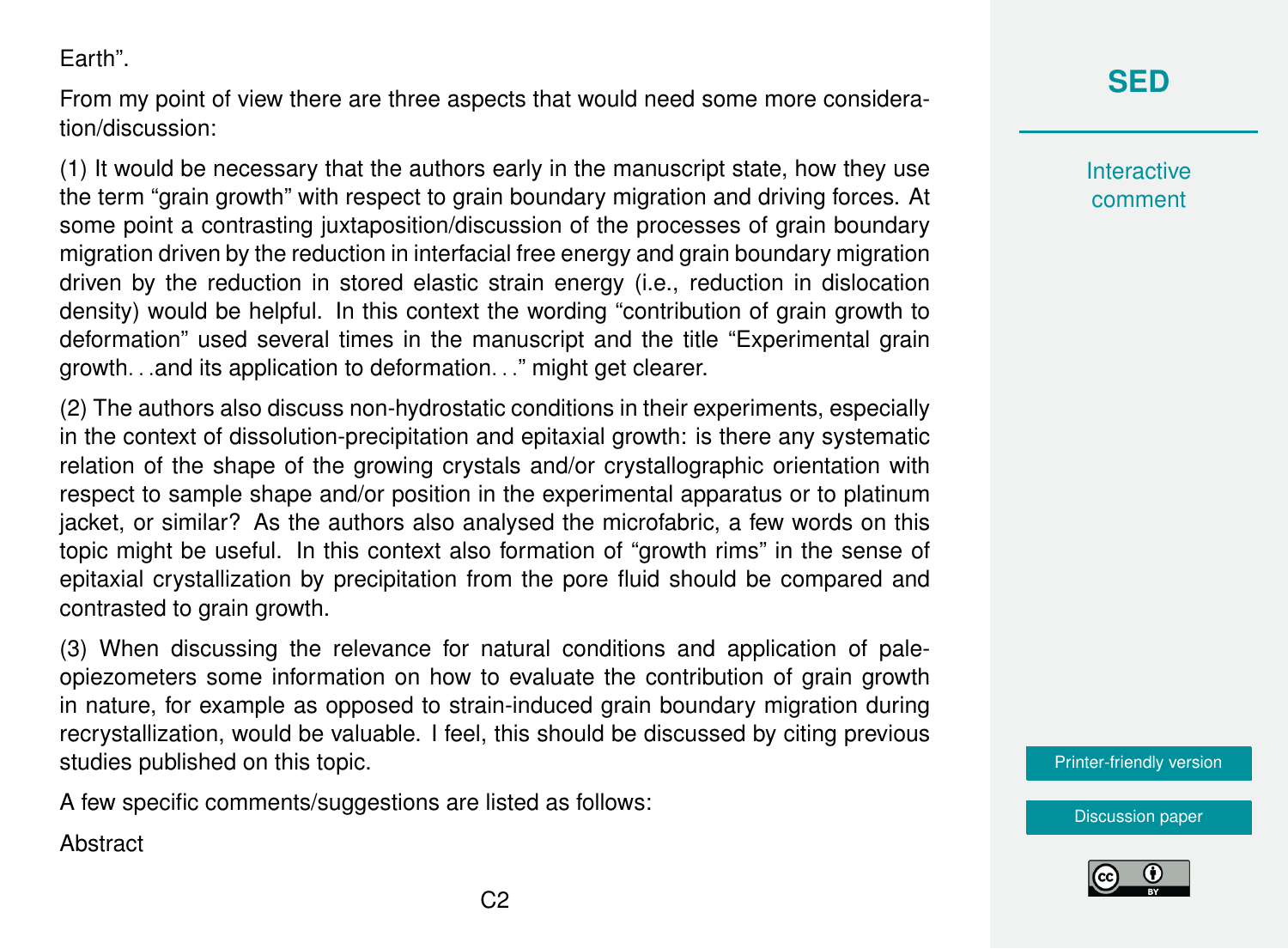Earth".

From my point of view there are three aspects that would need some more consideration/discussion:

(1) It would be necessary that the authors early in the manuscript state, how they use the term "grain growth" with respect to grain boundary migration and driving forces. At some point a contrasting juxtaposition/discussion of the processes of grain boundary migration driven by the reduction in interfacial free energy and grain boundary migration driven by the reduction in stored elastic strain energy (i.e., reduction in dislocation density) would be helpful. In this context the wording "contribution of grain growth to deformation" used several times in the manuscript and the title "Experimental grain growth. . .and its application to deformation. . ." might get clearer.

(2) The authors also discuss non-hydrostatic conditions in their experiments, especially in the context of dissolution-precipitation and epitaxial growth: is there any systematic relation of the shape of the growing crystals and/or crystallographic orientation with respect to sample shape and/or position in the experimental apparatus or to platinum jacket, or similar? As the authors also analysed the microfabric, a few words on this topic might be useful. In this context also formation of "growth rims" in the sense of epitaxial crystallization by precipitation from the pore fluid should be compared and contrasted to grain growth.

(3) When discussing the relevance for natural conditions and application of paleopiezometers some information on how to evaluate the contribution of grain growth in nature, for example as opposed to strain-induced grain boundary migration during recrystallization, would be valuable. I feel, this should be discussed by citing previous studies published on this topic.

A few specific comments/suggestions are listed as follows:

**Abstract** 



**Interactive** comment

[Printer-friendly version](https://www.solid-earth-discuss.net/se-2019-13/se-2019-13-RC2-print.pdf)



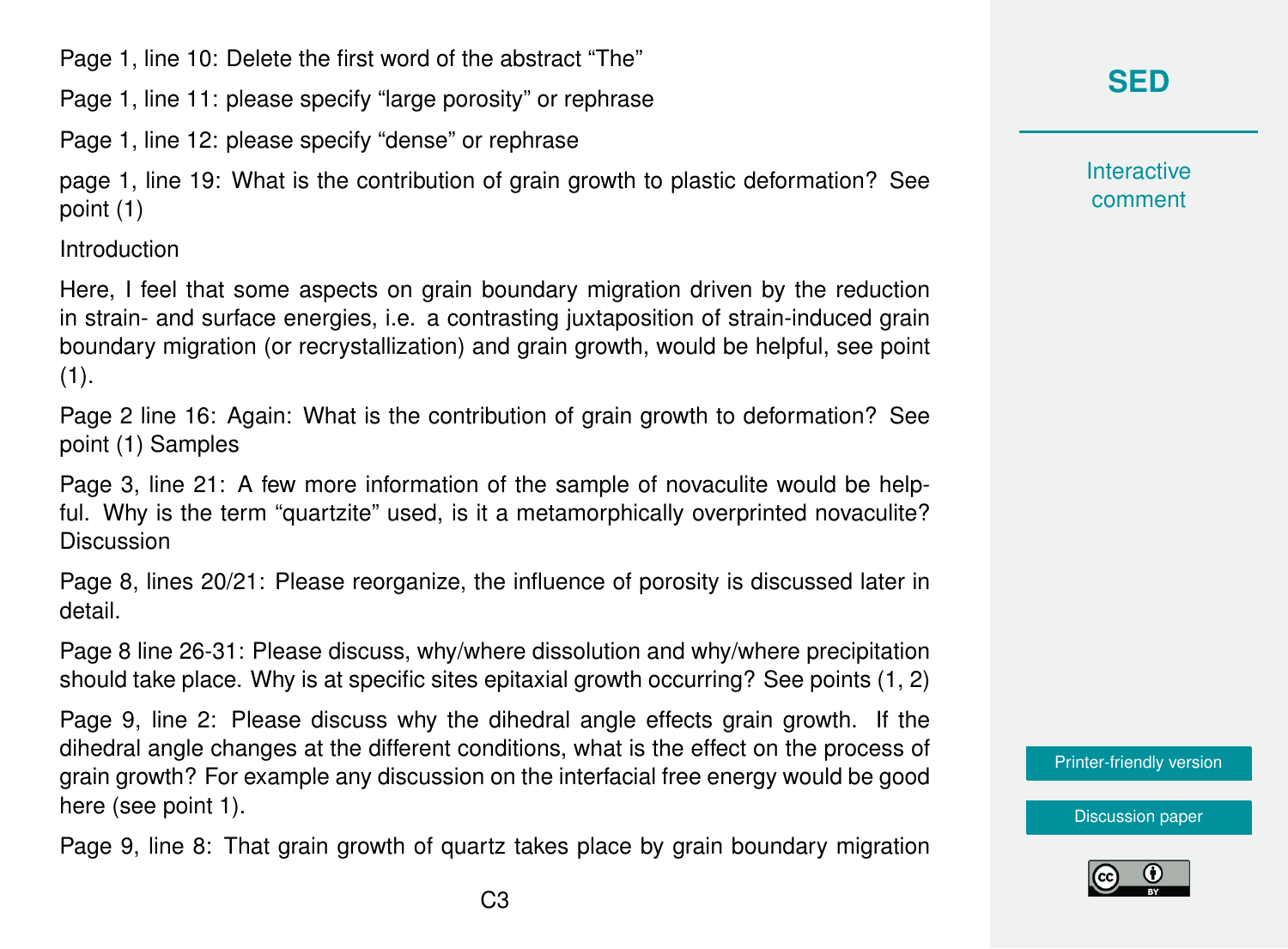Page 1, line 10: Delete the first word of the abstract "The"

Page 1, line 11: please specify "large porosity" or rephrase

Page 1, line 12: please specify "dense" or rephrase

page 1, line 19: What is the contribution of grain growth to plastic deformation? See point (1)

Introduction

Here, I feel that some aspects on grain boundary migration driven by the reduction in strain- and surface energies, i.e. a contrasting juxtaposition of strain-induced grain boundary migration (or recrystallization) and grain growth, would be helpful, see point  $(1).$ 

Page 2 line 16: Again: What is the contribution of grain growth to deformation? See point (1) Samples

Page 3, line 21: A few more information of the sample of novaculite would be helpful. Why is the term "quartzite" used, is it a metamorphically overprinted novaculite? Discussion

Page 8, lines 20/21: Please reorganize, the influence of porosity is discussed later in detail.

Page 8 line 26-31: Please discuss, why/where dissolution and why/where precipitation should take place. Why is at specific sites epitaxial growth occurring? See points (1, 2)

Page 9, line 2: Please discuss why the dihedral angle effects grain growth. If the dihedral angle changes at the different conditions, what is the effect on the process of grain growth? For example any discussion on the interfacial free energy would be good here (see point 1).

Page 9, line 8: That grain growth of quartz takes place by grain boundary migration

## **[SED](https://www.solid-earth-discuss.net/)**

**Interactive** comment

[Printer-friendly version](https://www.solid-earth-discuss.net/se-2019-13/se-2019-13-RC2-print.pdf)

[Discussion paper](https://www.solid-earth-discuss.net/se-2019-13)